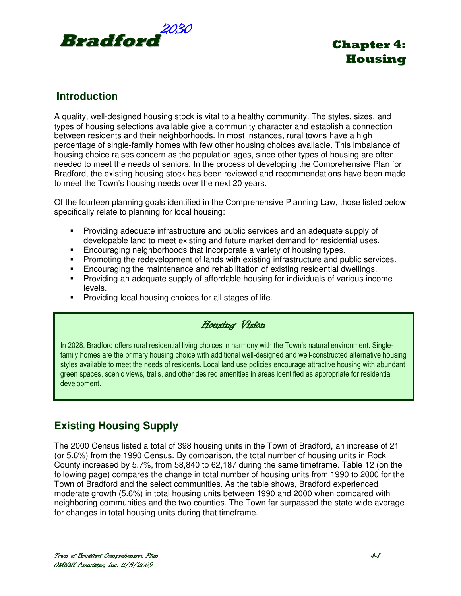

## **Introduction**

A quality, well-designed housing stock is vital to a healthy community. The styles, sizes, and types of housing selections available give a community character and establish a connection between residents and their neighborhoods. In most instances, rural towns have a high percentage of single-family homes with few other housing choices available. This imbalance of housing choice raises concern as the population ages, since other types of housing are often needed to meet the needs of seniors. In the process of developing the Comprehensive Plan for Bradford, the existing housing stock has been reviewed and recommendations have been made to meet the Town's housing needs over the next 20 years.

Of the fourteen planning goals identified in the Comprehensive Planning Law, those listed below specifically relate to planning for local housing:

- Providing adequate infrastructure and public services and an adequate supply of developable land to meet existing and future market demand for residential uses.
- Encouraging neighborhoods that incorporate a variety of housing types.
- **Promoting the redevelopment of lands with existing infrastructure and public services.**
- Encouraging the maintenance and rehabilitation of existing residential dwellings.
- Providing an adequate supply of affordable housing for individuals of various income levels.
- **Providing local housing choices for all stages of life.**

### Housing Vision

In 2028, Bradford offers rural residential living choices in harmony with the Town's natural environment. Singlefamily homes are the primary housing choice with additional well-designed and well-constructed alternative housing styles available to meet the needs of residents. Local land use policies encourage attractive housing with abundant green spaces, scenic views, trails, and other desired amenities in areas identified as appropriate for residential development.

# **Existing Housing Supply**

The 2000 Census listed a total of 398 housing units in the Town of Bradford, an increase of 21 (or 5.6%) from the 1990 Census. By comparison, the total number of housing units in Rock County increased by 5.7%, from 58,840 to 62,187 during the same timeframe. Table 12 (on the following page) compares the change in total number of housing units from 1990 to 2000 for the Town of Bradford and the select communities. As the table shows, Bradford experienced moderate growth (5.6%) in total housing units between 1990 and 2000 when compared with neighboring communities and the two counties. The Town far surpassed the state-wide average for changes in total housing units during that timeframe.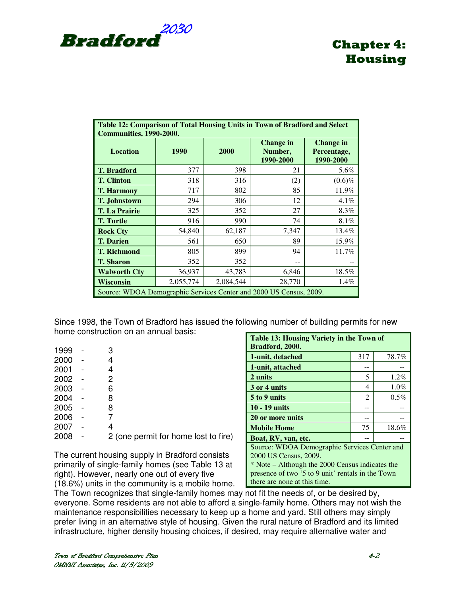

| Table 12: Comparison of Total Housing Units in Town of Bradford and Select |           |           |                                          |                                              |
|----------------------------------------------------------------------------|-----------|-----------|------------------------------------------|----------------------------------------------|
| <b>Communities, 1990-2000.</b>                                             |           |           |                                          |                                              |
| <b>Location</b>                                                            | 1990      | 2000      | <b>Change in</b><br>Number,<br>1990-2000 | <b>Change</b> in<br>Percentage,<br>1990-2000 |
| <b>T.</b> Bradford                                                         | 377       | 398       | 21                                       | 5.6%                                         |
| <b>T.</b> Clinton                                                          | 318       | 316       | (2)                                      | $(0.6)$ %                                    |
| <b>T. Harmony</b>                                                          | 717       | 802       | 85                                       | 11.9%                                        |
| <b>T. Johnstown</b>                                                        | 294       | 306       | 12                                       | $4.1\%$                                      |
| <b>T. La Prairie</b>                                                       | 325       | 352       | 27                                       | 8.3%                                         |
| <b>T.</b> Turtle                                                           | 916       | 990       | 74                                       | 8.1%                                         |
| <b>Rock Cty</b>                                                            | 54,840    | 62,187    | 7,347                                    | 13.4%                                        |
| <b>T.</b> Darien                                                           | 561       | 650       | 89                                       | 15.9%                                        |
| <b>T. Richmond</b>                                                         | 805       | 899       | 94                                       | 11.7%                                        |
| <b>T. Sharon</b>                                                           | 352       | 352       |                                          |                                              |
| <b>Walworth Ctv</b>                                                        | 36,937    | 43,783    | 6,846                                    | 18.5%                                        |
| <b>Wisconsin</b>                                                           | 2,055,774 | 2,084,544 | 28,770                                   | $1.4\%$                                      |
| Source: WDOA Demographic Services Center and 2000 US Census, 2009.         |           |           |                                          |                                              |

Since 1998, the Town of Bradford has issued the following number of building permits for new home construction on an annual basis:

| 1999 | З                                    |
|------|--------------------------------------|
| 2000 | 4                                    |
| 2001 | 4                                    |
| 2002 | 2                                    |
| 2003 | 6                                    |
| 2004 | 8                                    |
| 2005 | 8                                    |
| 2006 |                                      |
| 2007 | 4                                    |
| 2008 | 2 (one permit for home lost to fire) |
|      |                                      |

The current housing supply in Bradford consists primarily of single-family homes (see Table 13 at right). However, nearly one out of every five (18.6%) units in the community is a mobile home.

| <b>Table 13: Housing Variety in the Town of</b><br>Bradford, 2000. |     |         |  |
|--------------------------------------------------------------------|-----|---------|--|
| 1-unit, detached                                                   | 317 | 78.7%   |  |
| 1-unit, attached                                                   |     |         |  |
| 2 units                                                            | 5   | $1.2\%$ |  |
| 3 or 4 units<br>$1.0\%$<br>4                                       |     |         |  |
| $\mathfrak{D}$<br>$0.5\%$<br>5 to 9 units                          |     |         |  |
| <b>10 - 19 units</b>                                               |     |         |  |
| 20 or more units                                                   |     |         |  |
| 75<br>18.6%<br><b>Mobile Home</b>                                  |     |         |  |
| Boat, RV, van, etc.                                                |     |         |  |
| Source: WDOA Demographic Services Center and                       |     |         |  |
| 2000 US Census, 2009.                                              |     |         |  |
| * Note – Although the 2000 Census indicates the                    |     |         |  |
| presence of two '5 to 9 unit' rentals in the Town                  |     |         |  |
| there are none at this time.                                       |     |         |  |

The Town recognizes that single-family homes may not fit the needs of, or be desired by, everyone. Some residents are not able to afford a single-family home. Others may not wish the maintenance responsibilities necessary to keep up a home and yard. Still others may simply prefer living in an alternative style of housing. Given the rural nature of Bradford and its limited infrastructure, higher density housing choices, if desired, may require alternative water and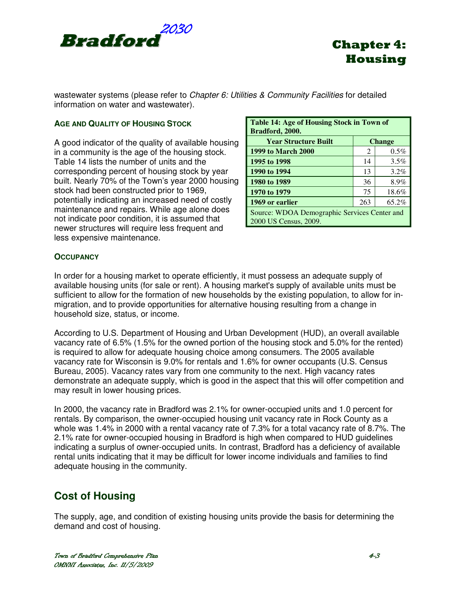

wastewater systems (please refer to Chapter 6: Utilities & Community Facilities for detailed information on water and wastewater).

### **AGE AND QUALITY OF HOUSING STOCK**

A good indicator of the quality of available housing in a community is the age of the housing stock. Table 14 lists the number of units and the corresponding percent of housing stock by year built. Nearly 70% of the Town's year 2000 housing stock had been constructed prior to 1969, potentially indicating an increased need of costly maintenance and repairs. While age alone does not indicate poor condition, it is assumed that newer structures will require less frequent and less expensive maintenance.

| Table 14: Age of Housing Stock in Town of<br>Bradford, 2000.          |               |         |  |
|-----------------------------------------------------------------------|---------------|---------|--|
| <b>Year Structure Built</b>                                           | <b>Change</b> |         |  |
| <b>1999 to March 2000</b>                                             | 2             | 0.5%    |  |
| 1995 to 1998                                                          | 14            | 3.5%    |  |
| 1990 to 1994                                                          | 13            | $3.2\%$ |  |
| 1980 to 1989                                                          | 36            | 8.9%    |  |
| 1970 to 1979                                                          | 75            | 18.6%   |  |
| 65.2%<br>1969 or earlier<br>263                                       |               |         |  |
| Source: WDOA Demographic Services Center and<br>2000 US Census, 2009. |               |         |  |

#### **OCCUPANCY**

In order for a housing market to operate efficiently, it must possess an adequate supply of available housing units (for sale or rent). A housing market's supply of available units must be sufficient to allow for the formation of new households by the existing population, to allow for inmigration, and to provide opportunities for alternative housing resulting from a change in household size, status, or income.

According to U.S. Department of Housing and Urban Development (HUD), an overall available vacancy rate of 6.5% (1.5% for the owned portion of the housing stock and 5.0% for the rented) is required to allow for adequate housing choice among consumers. The 2005 available vacancy rate for Wisconsin is 9.0% for rentals and 1.6% for owner occupants (U.S. Census Bureau, 2005). Vacancy rates vary from one community to the next. High vacancy rates demonstrate an adequate supply, which is good in the aspect that this will offer competition and may result in lower housing prices.

In 2000, the vacancy rate in Bradford was 2.1% for owner-occupied units and 1.0 percent for rentals. By comparison, the owner-occupied housing unit vacancy rate in Rock County as a whole was 1.4% in 2000 with a rental vacancy rate of 7.3% for a total vacancy rate of 8.7%. The 2.1% rate for owner-occupied housing in Bradford is high when compared to HUD guidelines indicating a surplus of owner-occupied units. In contrast, Bradford has a deficiency of available rental units indicating that it may be difficult for lower income individuals and families to find adequate housing in the community.

## **Cost of Housing**

The supply, age, and condition of existing housing units provide the basis for determining the demand and cost of housing.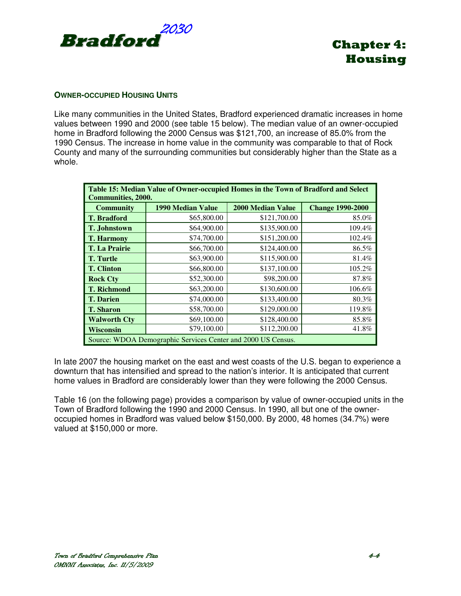

#### **OWNER-OCCUPIED HOUSING UNITS**

Like many communities in the United States, Bradford experienced dramatic increases in home values between 1990 and 2000 (see table 15 below). The median value of an owner-occupied home in Bradford following the 2000 Census was \$121,700, an increase of 85.0% from the 1990 Census. The increase in home value in the community was comparable to that of Rock County and many of the surrounding communities but considerably higher than the State as a whole.

| Table 15: Median Value of Owner-occupied Homes in the Town of Bradford and Select<br><b>Communities, 2000.</b> |                          |                          |                         |  |
|----------------------------------------------------------------------------------------------------------------|--------------------------|--------------------------|-------------------------|--|
| <b>Community</b>                                                                                               | <b>1990 Median Value</b> | <b>2000 Median Value</b> | <b>Change 1990-2000</b> |  |
| <b>T.</b> Bradford                                                                                             | \$65,800.00              | \$121,700.00             | 85.0%                   |  |
| <b>T.</b> Johnstown                                                                                            | \$64,900.00              | \$135,900.00             | 109.4%                  |  |
| <b>T. Harmony</b>                                                                                              | \$74,700.00              | \$151,200.00             | 102.4%                  |  |
| <b>T. La Prairie</b>                                                                                           | \$66,700.00              | \$124,400.00             | 86.5%                   |  |
| <b>T.</b> Turtle                                                                                               | \$63,900.00              | \$115,900.00             | 81.4%                   |  |
| <b>T.</b> Clinton                                                                                              | \$66,800.00              | \$137,100.00             | 105.2%                  |  |
| <b>Rock Cty</b>                                                                                                | \$52,300.00              | \$98,200.00              | 87.8%                   |  |
| <b>T. Richmond</b>                                                                                             | \$63,200.00              | \$130,600.00             | 106.6%                  |  |
| <b>T.</b> Darien                                                                                               | \$74,000.00              | \$133,400.00             | 80.3%                   |  |
| <b>T. Sharon</b>                                                                                               | \$58,700.00              | \$129,000.00             | 119.8%                  |  |
| <b>Walworth Cty</b>                                                                                            | \$69,100.00              | \$128,400.00             | 85.8%                   |  |
| <b>Wisconsin</b>                                                                                               | \$79,100.00              | \$112,200.00             | 41.8%                   |  |
| Source: WDOA Demographic Services Center and 2000 US Census.                                                   |                          |                          |                         |  |

In late 2007 the housing market on the east and west coasts of the U.S. began to experience a downturn that has intensified and spread to the nation's interior. It is anticipated that current home values in Bradford are considerably lower than they were following the 2000 Census.

Table 16 (on the following page) provides a comparison by value of owner-occupied units in the Town of Bradford following the 1990 and 2000 Census. In 1990, all but one of the owneroccupied homes in Bradford was valued below \$150,000. By 2000, 48 homes (34.7%) were valued at \$150,000 or more.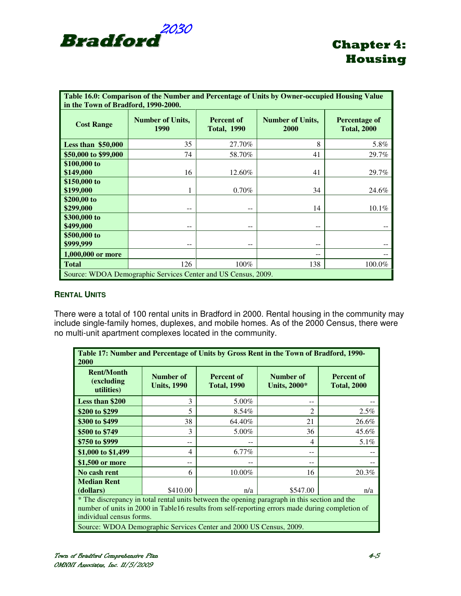

| Table 16.0: Comparison of the Number and Percentage of Units by Owner-occupied Housing Value<br>in the Town of Bradford, 1990-2000. |                                 |                                         |                                 |                                     |
|-------------------------------------------------------------------------------------------------------------------------------------|---------------------------------|-----------------------------------------|---------------------------------|-------------------------------------|
| <b>Cost Range</b>                                                                                                                   | <b>Number of Units,</b><br>1990 | <b>Percent of</b><br><b>Total, 1990</b> | <b>Number of Units,</b><br>2000 | Percentage of<br><b>Total, 2000</b> |
| Less than $$50,000$                                                                                                                 | 35                              | 27.70%                                  | 8                               | 5.8%                                |
| \$50,000 to \$99,000                                                                                                                | 74                              | 58.70%                                  | 41                              | 29.7%                               |
| \$100,000 to<br>\$149,000                                                                                                           | 16                              | 12.60%                                  | 41                              | 29.7%                               |
| \$150,000 to<br>\$199,000                                                                                                           |                                 | $0.70\%$                                | 34                              | 24.6%                               |
| \$200,00 to<br>\$299,000                                                                                                            | --                              | --                                      | 14                              | $10.1\%$                            |
| \$300,000 to<br>\$499,000                                                                                                           | --                              | --                                      | --                              |                                     |
| \$500,000 to<br>\$999,999                                                                                                           | --                              | --                                      | --                              |                                     |
| 1,000,000 or more                                                                                                                   |                                 |                                         | --                              |                                     |
| <b>Total</b>                                                                                                                        | 126                             | 100%                                    | 138                             | 100.0%                              |
| Source: WDOA Demographic Services Center and US Census, 2009.                                                                       |                                 |                                         |                                 |                                     |

### **RENTAL UNITS**

There were a total of 100 rental units in Bradford in 2000. Rental housing in the community may include single-family homes, duplexes, and mobile homes. As of the 2000 Census, there were no multi-unit apartment complexes located in the community.

| Table 17: Number and Percentage of Units by Gross Rent in the Town of Bradford, 1990-<br><b>2000</b> |                                 |                                         |                             |                                         |
|------------------------------------------------------------------------------------------------------|---------------------------------|-----------------------------------------|-----------------------------|-----------------------------------------|
| <b>Rent/Month</b><br><i>(excluding)</i><br>utilities)                                                | Number of<br><b>Units, 1990</b> | <b>Percent of</b><br><b>Total, 1990</b> | Number of<br>Units, $2000*$ | <b>Percent of</b><br><b>Total, 2000</b> |
| Less than \$200                                                                                      | 3                               | 5.00%                                   | --                          |                                         |
| \$200 to \$299                                                                                       | 5                               | 8.54%                                   | 2                           | 2.5%                                    |
| \$300 to \$499                                                                                       | 38                              | 64.40%                                  | 21                          | 26.6%                                   |
| \$500 to \$749                                                                                       | 3                               | 5.00%                                   | 36                          | 45.6%                                   |
| \$750 to \$999                                                                                       | $- -$                           | --                                      | 4                           | 5.1%                                    |
| \$1,000 to \$1,499                                                                                   | $\overline{4}$                  | 6.77%                                   | --                          |                                         |
| \$1,500 or more                                                                                      | $- -$                           | --                                      | --                          |                                         |
| No cash rent                                                                                         | 6                               | 10.00%                                  | 16                          | 20.3%                                   |
| <b>Median Rent</b>                                                                                   |                                 |                                         |                             |                                         |
| (dollars)                                                                                            | \$410.00                        | n/a                                     | \$547.00                    | n/a                                     |
| * The discrepancy in total rental units between the opening paragraph in this section and the        |                                 |                                         |                             |                                         |
| number of units in 2000 in Table16 results from self-reporting errors made during completion of      |                                 |                                         |                             |                                         |
| individual census forms.                                                                             |                                 |                                         |                             |                                         |
| Source: WDOA Demographic Services Center and 2000 US Census, 2009.                                   |                                 |                                         |                             |                                         |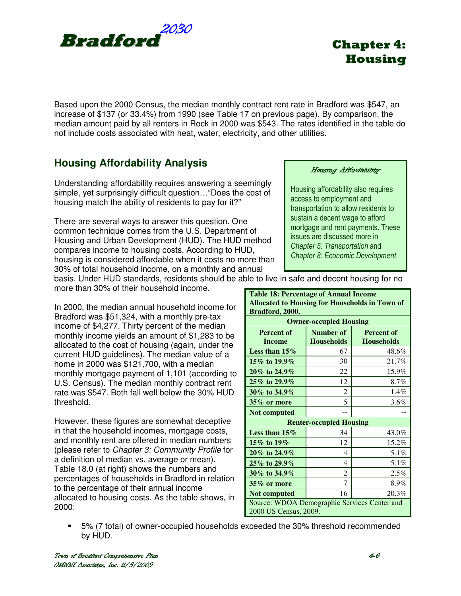

Based upon the 2000 Census, the median monthly contract rent rate in Bradford was \$547, an increase of \$137 (or 33.4%) from 1990 (see Table 17 on previous page). By comparison, the median amount paid by all renters in Rock in 2000 was \$543. The rates identified in the table do not include costs associated with heat, water, electricity, and other utilities.

## **Housing Affordability Analysis**

Understanding affordability requires answering a seemingly simple, yet surprisingly difficult question…"Does the cost of housing match the ability of residents to pay for it?"

There are several ways to answer this question. One common technique comes from the U.S. Department of Housing and Urban Development (HUD). The HUD method compares income to housing costs. According to HUD, housing is considered affordable when it costs no more than 30% of total household income, on a monthly and annual

#### Housing Affordability

Housing affordability also requires access to employment and transportation to allow residents to sustain a decent wage to afford mortgage and rent payments. These issues are discussed more in Chapter 5: Transportation and Chapter 8: Economic Development.

basis. Under HUD standards, residents should be able to live in safe and decent housing for no more than 30% of their household income.

In 2000, the median annual household income for Bradford was \$51,324, with a monthly pre-tax income of \$4,277. Thirty percent of the median monthly income yields an amount of \$1,283 to be allocated to the cost of housing (again, under the current HUD guidelines). The median value of a home in 2000 was \$121,700, with a median monthly mortgage payment of 1,101 (according to U.S. Census). The median monthly contract rent rate was \$547. Both fall well below the 30% HUD threshold.

However, these figures are somewhat deceptive in that the household incomes, mortgage costs, and monthly rent are offered in median numbers (please refer to Chapter 3: Community Profile for a definition of median vs. average or mean). Table 18.0 (at right) shows the numbers and percentages of households in Bradford in relation to the percentage of their annual income allocated to housing costs. As the table shows, in 2000:

| <b>Table 18: Percentage of Annual Income</b><br><b>Allocated to Housing for Households in Town of</b> |                                |                   |  |  |
|-------------------------------------------------------------------------------------------------------|--------------------------------|-------------------|--|--|
| Bradford, 2000.                                                                                       |                                |                   |  |  |
|                                                                                                       | <b>Owner-occupied Housing</b>  |                   |  |  |
| <b>Percent of</b>                                                                                     | <b>Number of</b>               | <b>Percent of</b> |  |  |
| <b>Income</b>                                                                                         | <b>Households</b>              | <b>Households</b> |  |  |
| Less than $15\%$                                                                                      | 67                             | 48.6%             |  |  |
| 15\% to 19.9\%                                                                                        | 30                             | 21.7%             |  |  |
| 20% to 24.9%                                                                                          | 22                             | 15.9%             |  |  |
| 25% to 29.9%                                                                                          | 12                             | 8.7%              |  |  |
| 30% to 34.9%                                                                                          | 2                              | 1.4%              |  |  |
| 35% or more                                                                                           | 5                              | 3.6%              |  |  |
| Not computed                                                                                          |                                |                   |  |  |
|                                                                                                       | <b>Renter-occupied Housing</b> |                   |  |  |
| Less than $15\%$                                                                                      | 34                             | 43.0%             |  |  |
| 15\% to 19\%                                                                                          | 12                             | 15.2%             |  |  |
| 20% to 24.9%                                                                                          | 4                              | 5.1%              |  |  |
| 25% to 29.9%                                                                                          | 4                              | 5.1%              |  |  |
| 30% to 34.9%                                                                                          | 2                              | 2.5%              |  |  |
| $35\%$ or more                                                                                        | 7<br>8.9%                      |                   |  |  |
| 16<br>20.3%<br>Not computed                                                                           |                                |                   |  |  |
| Source: WDOA Demographic Services Center and<br>2000 US Census, 2009.                                 |                                |                   |  |  |

 5% (7 total) of owner-occupied households exceeded the 30% threshold recommended by HUD.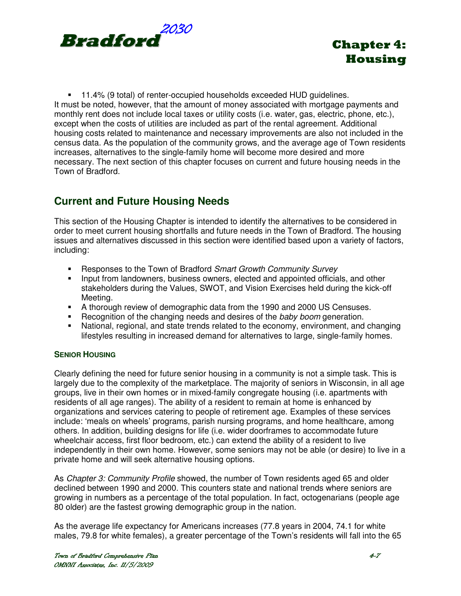

 11.4% (9 total) of renter-occupied households exceeded HUD guidelines. It must be noted, however, that the amount of money associated with mortgage payments and monthly rent does not include local taxes or utility costs (i.e. water, gas, electric, phone, etc.), except when the costs of utilities are included as part of the rental agreement. Additional housing costs related to maintenance and necessary improvements are also not included in the census data. As the population of the community grows, and the average age of Town residents increases, alternatives to the single-family home will become more desired and more necessary. The next section of this chapter focuses on current and future housing needs in the Town of Bradford.

## **Current and Future Housing Needs**

This section of the Housing Chapter is intended to identify the alternatives to be considered in order to meet current housing shortfalls and future needs in the Town of Bradford. The housing issues and alternatives discussed in this section were identified based upon a variety of factors, including:

- Responses to the Town of Bradford Smart Growth Community Survey
- **Input from landowners, business owners, elected and appointed officials, and other** stakeholders during the Values, SWOT, and Vision Exercises held during the kick-off Meeting.
- A thorough review of demographic data from the 1990 and 2000 US Censuses.
- Recognition of the changing needs and desires of the baby boom generation.
- National, regional, and state trends related to the economy, environment, and changing lifestyles resulting in increased demand for alternatives to large, single-family homes.

### **SENIOR HOUSING**

Clearly defining the need for future senior housing in a community is not a simple task. This is largely due to the complexity of the marketplace. The majority of seniors in Wisconsin, in all age groups, live in their own homes or in mixed-family congregate housing (i.e. apartments with residents of all age ranges). The ability of a resident to remain at home is enhanced by organizations and services catering to people of retirement age. Examples of these services include: 'meals on wheels' programs, parish nursing programs, and home healthcare, among others. In addition, building designs for life (i.e. wider doorframes to accommodate future wheelchair access, first floor bedroom, etc.) can extend the ability of a resident to live independently in their own home. However, some seniors may not be able (or desire) to live in a private home and will seek alternative housing options.

As Chapter 3: Community Profile showed, the number of Town residents aged 65 and older declined between 1990 and 2000. This counters state and national trends where seniors are growing in numbers as a percentage of the total population. In fact, octogenarians (people age 80 older) are the fastest growing demographic group in the nation.

As the average life expectancy for Americans increases (77.8 years in 2004, 74.1 for white males, 79.8 for white females), a greater percentage of the Town's residents will fall into the 65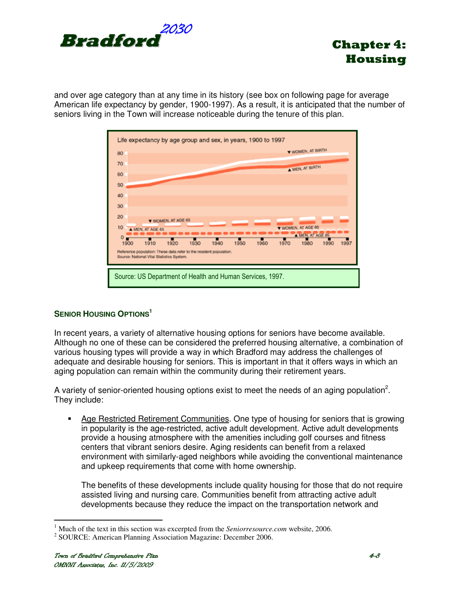



and over age category than at any time in its history (see box on following page for average American life expectancy by gender, 1900-1997). As a result, it is anticipated that the number of seniors living in the Town will increase noticeable during the tenure of this plan.



### **SENIOR HOUSING OPTIONS<sup>1</sup>**

In recent years, a variety of alternative housing options for seniors have become available. Although no one of these can be considered the preferred housing alternative, a combination of various housing types will provide a way in which Bradford may address the challenges of adequate and desirable housing for seniors. This is important in that it offers ways in which an aging population can remain within the community during their retirement years.

A variety of senior-oriented housing options exist to meet the needs of an aging population<sup>2</sup>. They include:

 Age Restricted Retirement Communities. One type of housing for seniors that is growing in popularity is the age-restricted, active adult development. Active adult developments provide a housing atmosphere with the amenities including golf courses and fitness centers that vibrant seniors desire. Aging residents can benefit from a relaxed environment with similarly-aged neighbors while avoiding the conventional maintenance and upkeep requirements that come with home ownership.

The benefits of these developments include quality housing for those that do not require assisted living and nursing care. Communities benefit from attracting active adult developments because they reduce the impact on the transportation network and

 1 Much of the text in this section was excerpted from the *Seniorresource.com* website, 2006.

<sup>&</sup>lt;sup>2</sup> SOURCE: American Planning Association Magazine: December 2006.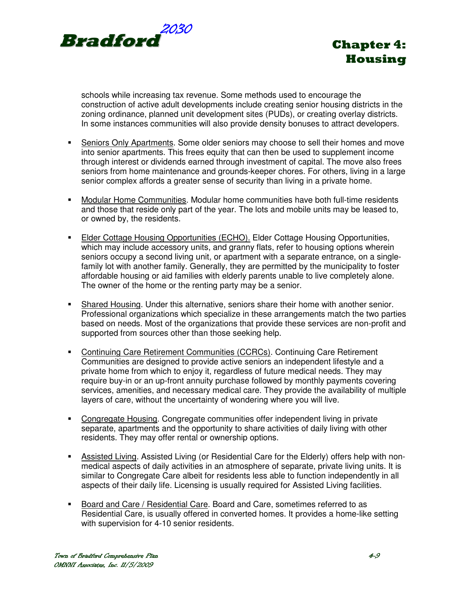



schools while increasing tax revenue. Some methods used to encourage the construction of active adult developments include creating senior housing districts in the zoning ordinance, planned unit development sites (PUDs), or creating overlay districts. In some instances communities will also provide density bonuses to attract developers.

- Seniors Only Apartments. Some older seniors may choose to sell their homes and move into senior apartments. This frees equity that can then be used to supplement income through interest or dividends earned through investment of capital. The move also frees seniors from home maintenance and grounds-keeper chores. For others, living in a large senior complex affords a greater sense of security than living in a private home.
- Modular Home Communities. Modular home communities have both full-time residents and those that reside only part of the year. The lots and mobile units may be leased to, or owned by, the residents.
- Elder Cottage Housing Opportunities (ECHO). Elder Cottage Housing Opportunities, which may include accessory units, and granny flats, refer to housing options wherein seniors occupy a second living unit, or apartment with a separate entrance, on a singlefamily lot with another family. Generally, they are permitted by the municipality to foster affordable housing or aid families with elderly parents unable to live completely alone. The owner of the home or the renting party may be a senior.
- Shared Housing. Under this alternative, seniors share their home with another senior. Professional organizations which specialize in these arrangements match the two parties based on needs. Most of the organizations that provide these services are non-profit and supported from sources other than those seeking help.
- Continuing Care Retirement Communities (CCRCs). Continuing Care Retirement Communities are designed to provide active seniors an independent lifestyle and a private home from which to enjoy it, regardless of future medical needs. They may require buy-in or an up-front annuity purchase followed by monthly payments covering services, amenities, and necessary medical care. They provide the availability of multiple layers of care, without the uncertainty of wondering where you will live.
- **Congregate Housing. Congregate communities offer independent living in private** separate, apartments and the opportunity to share activities of daily living with other residents. They may offer rental or ownership options.
- Assisted Living. Assisted Living (or Residential Care for the Elderly) offers help with nonmedical aspects of daily activities in an atmosphere of separate, private living units. It is similar to Congregate Care albeit for residents less able to function independently in all aspects of their daily life. Licensing is usually required for Assisted Living facilities.
- Board and Care / Residential Care. Board and Care, sometimes referred to as Residential Care, is usually offered in converted homes. It provides a home-like setting with supervision for 4-10 senior residents.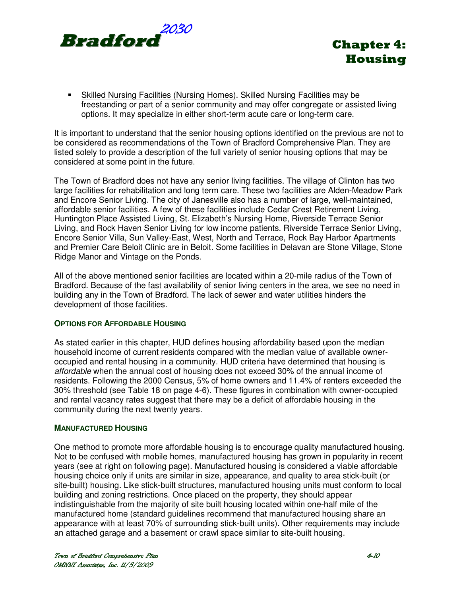



 Skilled Nursing Facilities (Nursing Homes). Skilled Nursing Facilities may be freestanding or part of a senior community and may offer congregate or assisted living options. It may specialize in either short-term acute care or long-term care.

It is important to understand that the senior housing options identified on the previous are not to be considered as recommendations of the Town of Bradford Comprehensive Plan. They are listed solely to provide a description of the full variety of senior housing options that may be considered at some point in the future.

The Town of Bradford does not have any senior living facilities. The village of Clinton has two large facilities for rehabilitation and long term care. These two facilities are Alden-Meadow Park and Encore Senior Living. The city of Janesville also has a number of large, well-maintained, affordable senior facilities. A few of these facilities include Cedar Crest Retirement Living, Huntington Place Assisted Living, St. Elizabeth's Nursing Home, Riverside Terrace Senior Living, and Rock Haven Senior Living for low income patients. Riverside Terrace Senior Living, Encore Senior Villa, Sun Valley-East, West, North and Terrace, Rock Bay Harbor Apartments and Premier Care Beloit Clinic are in Beloit. Some facilities in Delavan are Stone Village, Stone Ridge Manor and Vintage on the Ponds.

All of the above mentioned senior facilities are located within a 20-mile radius of the Town of Bradford. Because of the fast availability of senior living centers in the area, we see no need in building any in the Town of Bradford. The lack of sewer and water utilities hinders the development of those facilities.

#### **OPTIONS FOR AFFORDABLE HOUSING**

As stated earlier in this chapter, HUD defines housing affordability based upon the median household income of current residents compared with the median value of available owneroccupied and rental housing in a community. HUD criteria have determined that housing is affordable when the annual cost of housing does not exceed 30% of the annual income of residents. Following the 2000 Census, 5% of home owners and 11.4% of renters exceeded the 30% threshold (see Table 18 on page 4-6). These figures in combination with owner-occupied and rental vacancy rates suggest that there may be a deficit of affordable housing in the community during the next twenty years.

#### **MANUFACTURED HOUSING**

One method to promote more affordable housing is to encourage quality manufactured housing. Not to be confused with mobile homes, manufactured housing has grown in popularity in recent years (see at right on following page). Manufactured housing is considered a viable affordable housing choice only if units are similar in size, appearance, and quality to area stick-built (or site-built) housing. Like stick-built structures, manufactured housing units must conform to local building and zoning restrictions. Once placed on the property, they should appear indistinguishable from the majority of site built housing located within one-half mile of the manufactured home (standard guidelines recommend that manufactured housing share an appearance with at least 70% of surrounding stick-built units). Other requirements may include an attached garage and a basement or crawl space similar to site-built housing.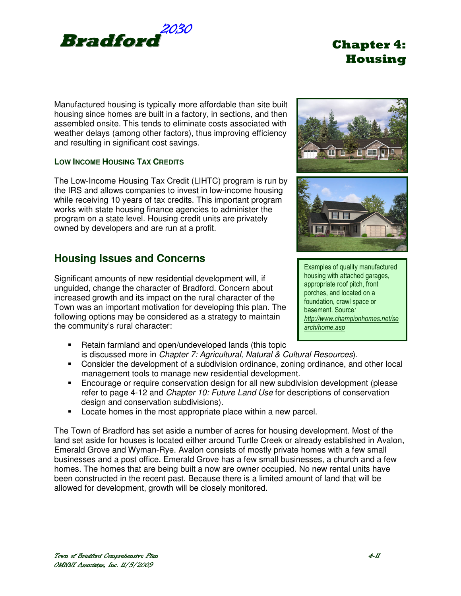

Manufactured housing is typically more affordable than site built housing since homes are built in a factory, in sections, and then assembled onsite. This tends to eliminate costs associated with weather delays (among other factors), thus improving efficiency and resulting in significant cost savings.

### **LOW INCOME HOUSING TAX CREDITS**

The Low-Income Housing Tax Credit (LIHTC) program is run by the IRS and allows companies to invest in low-income housing while receiving 10 years of tax credits. This important program works with state housing finance agencies to administer the program on a state level. Housing credit units are privately owned by developers and are run at a profit.

## **Housing Issues and Concerns**

Significant amounts of new residential development will, if unguided, change the character of Bradford. Concern about increased growth and its impact on the rural character of the Town was an important motivation for developing this plan. The following options may be considered as a strategy to maintain the community's rural character:

- Retain farmland and open/undeveloped lands (this topic is discussed more in Chapter 7: Agricultural, Natural & Cultural Resources).
- Consider the development of a subdivision ordinance, zoning ordinance, and other local management tools to manage new residential development.
- Encourage or require conservation design for all new subdivision development (please refer to page 4-12 and Chapter 10: Future Land Use for descriptions of conservation design and conservation subdivisions).
- **Locate homes in the most appropriate place within a new parcel.**

The Town of Bradford has set aside a number of acres for housing development. Most of the land set aside for houses is located either around Turtle Creek or already established in Avalon, Emerald Grove and Wyman-Rye. Avalon consists of mostly private homes with a few small businesses and a post office. Emerald Grove has a few small businesses, a church and a few homes. The homes that are being built a now are owner occupied. No new rental units have been constructed in the recent past. Because there is a limited amount of land that will be allowed for development, growth will be closely monitored.



Examples of quality manufactured housing with attached garages, appropriate roof pitch, front porches, and located on a foundation, crawl space or basement. Source: http://www.championhomes.net/se arch/home.asp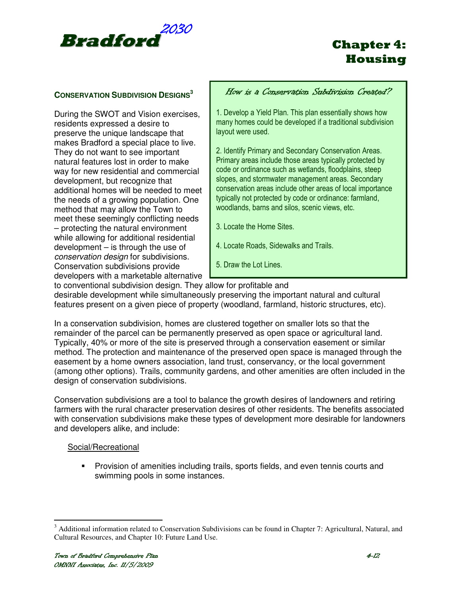

### **CONSERVATION SUBDIVISION DESIGNS<sup>3</sup>**

During the SWOT and Vision exercises, residents expressed a desire to preserve the unique landscape that makes Bradford a special place to live. They do not want to see important natural features lost in order to make way for new residential and commercial development, but recognize that additional homes will be needed to meet the needs of a growing population. One method that may allow the Town to meet these seemingly conflicting needs – protecting the natural environment while allowing for additional residential development – is through the use of conservation design for subdivisions. Conservation subdivisions provide developers with a marketable alternative

### How is a Conservation Subdivision Created?

1. Develop a Yield Plan. This plan essentially shows how many homes could be developed if a traditional subdivision layout were used.

2. Identify Primary and Secondary Conservation Areas. Primary areas include those areas typically protected by code or ordinance such as wetlands, floodplains, steep slopes, and stormwater management areas. Secondary conservation areas include other areas of local importance typically not protected by code or ordinance: farmland, woodlands, barns and silos, scenic views, etc.

- 3. Locate the Home Sites.
- 4. Locate Roads, Sidewalks and Trails.
- 5. Draw the Lot Lines.

to conventional subdivision design. They allow for profitable and desirable development while simultaneously preserving the important natural and cultural features present on a given piece of property (woodland, farmland, historic structures, etc).

In a conservation subdivision, homes are clustered together on smaller lots so that the remainder of the parcel can be permanently preserved as open space or agricultural land. Typically, 40% or more of the site is preserved through a conservation easement or similar method. The protection and maintenance of the preserved open space is managed through the easement by a home owners association, land trust, conservancy, or the local government (among other options). Trails, community gardens, and other amenities are often included in the design of conservation subdivisions.

Conservation subdivisions are a tool to balance the growth desires of landowners and retiring farmers with the rural character preservation desires of other residents. The benefits associated with conservation subdivisions make these types of development more desirable for landowners and developers alike, and include:

#### Social/Recreational

 Provision of amenities including trails, sports fields, and even tennis courts and swimming pools in some instances.

<sup>&</sup>lt;sup>3</sup> Additional information related to Conservation Subdivisions can be found in Chapter 7: Agricultural, Natural, and Cultural Resources, and Chapter 10: Future Land Use.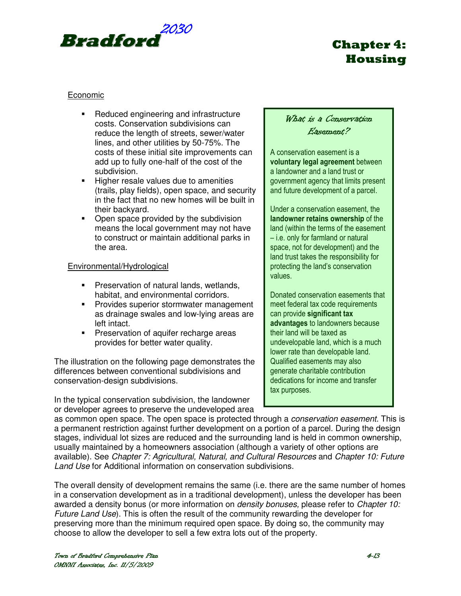

### Economic

- **Reduced engineering and infrastructure** costs. Conservation subdivisions can reduce the length of streets, sewer/water lines, and other utilities by 50-75%. The costs of these initial site improvements can add up to fully one-half of the cost of the subdivision.
- **Higher resale values due to amenities** (trails, play fields), open space, and security in the fact that no new homes will be built in their backyard.
- Open space provided by the subdivision means the local government may not have to construct or maintain additional parks in the area.

### Environmental/Hydrological

- **Preservation of natural lands, wetlands,** habitat, and environmental corridors.
- **Provides superior stormwater management** as drainage swales and low-lying areas are left intact.
- **Preservation of aquifer recharge areas** provides for better water quality.

The illustration on the following page demonstrates the differences between conventional subdivisions and conservation-design subdivisions.

In the typical conservation subdivision, the landowner or developer agrees to preserve the undeveloped area

### What is a Conservation Easement? Easement?

A conservation easement is a voluntary legal agreement between a landowner and a land trust or government agency that limits present and future development of a parcel.

Under a conservation easement, the landowner retains ownership of the land (within the terms of the easement – i.e. only for farmland or natural space, not for development) and the land trust takes the responsibility for protecting the land's conservation values.

Donated conservation easements that meet federal tax code requirements can provide significant tax advantages to landowners because their land will be taxed as undevelopable land, which is a much lower rate than developable land. Qualified easements may also generate charitable contribution dedications for income and transfer tax purposes.

as common open space. The open space is protected through a *conservation easement*. This is a permanent restriction against further development on a portion of a parcel. During the design stages, individual lot sizes are reduced and the surrounding land is held in common ownership, usually maintained by a homeowners association (although a variety of other options are available). See Chapter 7: Agricultural, Natural, and Cultural Resources and Chapter 10: Future Land Use for Additional information on conservation subdivisions.

The overall density of development remains the same (i.e. there are the same number of homes in a conservation development as in a traditional development), unless the developer has been awarded a density bonus (or more information on *density bonuses*, please refer to *Chapter 10:* Future Land Use). This is often the result of the community rewarding the developer for preserving more than the minimum required open space. By doing so, the community may choose to allow the developer to sell a few extra lots out of the property.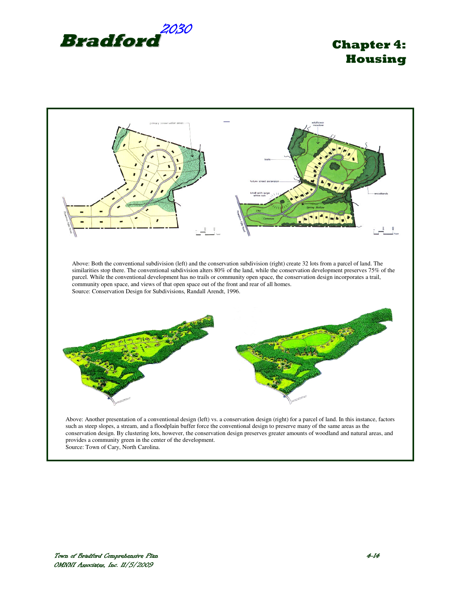

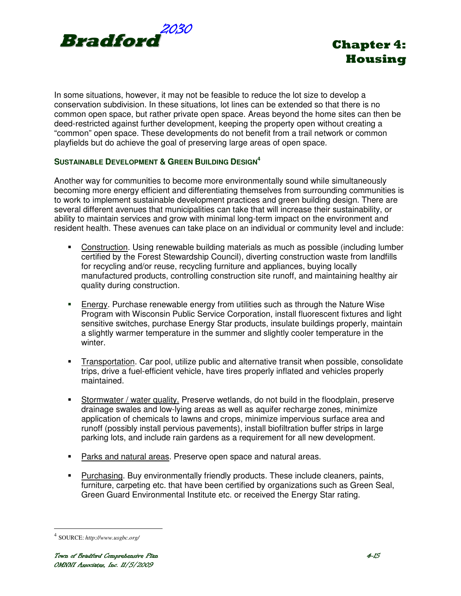



In some situations, however, it may not be feasible to reduce the lot size to develop a conservation subdivision. In these situations, lot lines can be extended so that there is no common open space, but rather private open space. Areas beyond the home sites can then be deed-restricted against further development, keeping the property open without creating a "common" open space. These developments do not benefit from a trail network or common playfields but do achieve the goal of preserving large areas of open space.

### **SUSTAINABLE DEVELOPMENT & GREEN BUILDING DESIGN<sup>4</sup>**

Another way for communities to become more environmentally sound while simultaneously becoming more energy efficient and differentiating themselves from surrounding communities is to work to implement sustainable development practices and green building design. There are several different avenues that municipalities can take that will increase their sustainability, or ability to maintain services and grow with minimal long-term impact on the environment and resident health. These avenues can take place on an individual or community level and include:

- Construction. Using renewable building materials as much as possible (including lumber certified by the Forest Stewardship Council), diverting construction waste from landfills for recycling and/or reuse, recycling furniture and appliances, buying locally manufactured products, controlling construction site runoff, and maintaining healthy air quality during construction.
- Energy. Purchase renewable energy from utilities such as through the Nature Wise Program with Wisconsin Public Service Corporation, install fluorescent fixtures and light sensitive switches, purchase Energy Star products, insulate buildings properly, maintain a slightly warmer temperature in the summer and slightly cooler temperature in the winter.
- Transportation. Car pool, utilize public and alternative transit when possible, consolidate trips, drive a fuel-efficient vehicle, have tires properly inflated and vehicles properly maintained.
- Stormwater / water quality. Preserve wetlands, do not build in the floodplain, preserve drainage swales and low-lying areas as well as aquifer recharge zones, minimize application of chemicals to lawns and crops, minimize impervious surface area and runoff (possibly install pervious pavements), install biofiltration buffer strips in large parking lots, and include rain gardens as a requirement for all new development.
- Parks and natural areas. Preserve open space and natural areas.
- Purchasing. Buy environmentally friendly products. These include cleaners, paints, furniture, carpeting etc. that have been certified by organizations such as Green Seal, Green Guard Environmental Institute etc. or received the Energy Star rating.

 $\overline{a}$ 

<sup>4</sup> SOURCE: *http://www.usgbc.org/*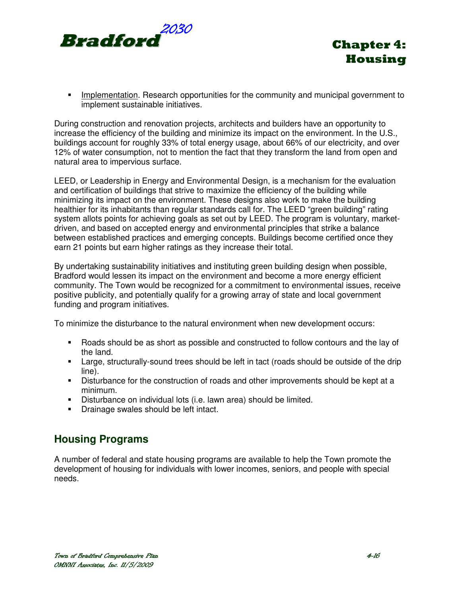



**IMPLEM** Implementation. Research opportunities for the community and municipal government to implement sustainable initiatives.

During construction and renovation projects, architects and builders have an opportunity to increase the efficiency of the building and minimize its impact on the environment. In the U.S., buildings account for roughly 33% of total energy usage, about 66% of our electricity, and over 12% of water consumption, not to mention the fact that they transform the land from open and natural area to impervious surface.

LEED, or Leadership in Energy and Environmental Design, is a mechanism for the evaluation and certification of buildings that strive to maximize the efficiency of the building while minimizing its impact on the environment. These designs also work to make the building healthier for its inhabitants than regular standards call for. The LEED "green building" rating system allots points for achieving goals as set out by LEED. The program is voluntary, marketdriven, and based on accepted energy and environmental principles that strike a balance between established practices and emerging concepts. Buildings become certified once they earn 21 points but earn higher ratings as they increase their total.

By undertaking sustainability initiatives and instituting green building design when possible, Bradford would lessen its impact on the environment and become a more energy efficient community. The Town would be recognized for a commitment to environmental issues, receive positive publicity, and potentially qualify for a growing array of state and local government funding and program initiatives.

To minimize the disturbance to the natural environment when new development occurs:

- Roads should be as short as possible and constructed to follow contours and the lay of the land.
- Large, structurally-sound trees should be left in tact (roads should be outside of the drip line).
- Disturbance for the construction of roads and other improvements should be kept at a minimum.
- Disturbance on individual lots (i.e. lawn area) should be limited.
- **•** Drainage swales should be left intact.

### **Housing Programs**

A number of federal and state housing programs are available to help the Town promote the development of housing for individuals with lower incomes, seniors, and people with special needs.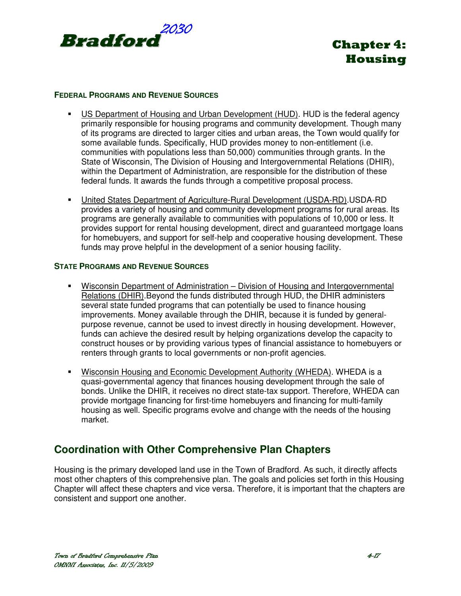

#### **FEDERAL PROGRAMS AND REVENUE SOURCES**

- US Department of Housing and Urban Development (HUD). HUD is the federal agency primarily responsible for housing programs and community development. Though many of its programs are directed to larger cities and urban areas, the Town would qualify for some available funds. Specifically, HUD provides money to non-entitlement (i.e. communities with populations less than 50,000) communities through grants. In the State of Wisconsin, The Division of Housing and Intergovernmental Relations (DHIR), within the Department of Administration, are responsible for the distribution of these federal funds. It awards the funds through a competitive proposal process.
- United States Department of Agriculture-Rural Development (USDA-RD).USDA-RD provides a variety of housing and community development programs for rural areas. Its programs are generally available to communities with populations of 10,000 or less. It provides support for rental housing development, direct and guaranteed mortgage loans for homebuyers, and support for self-help and cooperative housing development. These funds may prove helpful in the development of a senior housing facility.

#### **STATE PROGRAMS AND REVENUE SOURCES**

- Wisconsin Department of Administration Division of Housing and Intergovernmental Relations (DHIR).Beyond the funds distributed through HUD, the DHIR administers several state funded programs that can potentially be used to finance housing improvements. Money available through the DHIR, because it is funded by generalpurpose revenue, cannot be used to invest directly in housing development. However, funds can achieve the desired result by helping organizations develop the capacity to construct houses or by providing various types of financial assistance to homebuyers or renters through grants to local governments or non-profit agencies.
- **Wisconsin Housing and Economic Development Authority (WHEDA). WHEDA is a** quasi-governmental agency that finances housing development through the sale of bonds. Unlike the DHIR, it receives no direct state-tax support. Therefore, WHEDA can provide mortgage financing for first-time homebuyers and financing for multi-family housing as well. Specific programs evolve and change with the needs of the housing market.

## **Coordination with Other Comprehensive Plan Chapters**

Housing is the primary developed land use in the Town of Bradford. As such, it directly affects most other chapters of this comprehensive plan. The goals and policies set forth in this Housing Chapter will affect these chapters and vice versa. Therefore, it is important that the chapters are consistent and support one another.